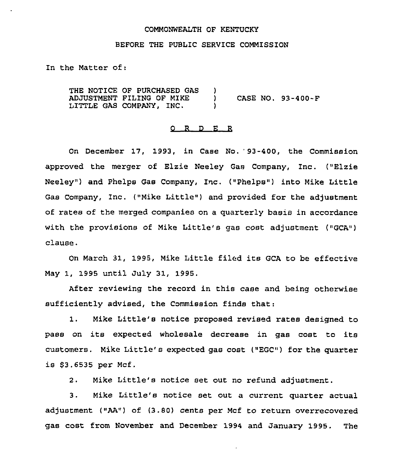#### COMMONWEALTH OF KENTUCKY

#### BEFORE THE PUBLIC SERVICE COMMISSION

In the Matter of:

THE NOTICE OF PURCHASED GAS ADJUSTMENT FILING OF MIKE LITTLE GAS COMPANY, INC.  $\left\{ \begin{array}{c} 1 \ 1 \end{array} \right\}$ ) CASE NO. 93-400-F )

## 0 <sup>R</sup> <sup>D</sup> E R

On December 17, 1993, in Case No. '3-400, the Commission approved the merger of Elzie Neeley Gas Company, Inc. ("Elzie Neeley") and Phelps Gas Company, Inc. ("Phelps") into Mike Little Gas Company, Inc, ("Mike Little" ) and provided for the adjustment of rates of the merged companies on a quarterly basis in accordance with the provisions of Mike Little's gas cost adjustment ("GCA") clause.

On March 31, 1995, Mike Little filed its GCA to be effective May 1, 1995 until July 31, 1995.

After reviewing the record in this case and being otherwise sufficiently advised, the Commission finds that:

1. Mike Little's notice proposed revised rates designed to pass on its expected wholesale decrease in gas cost to its customers. Mike Little's expected gas cost ("EGC") for the quarter is \$3.6535 per Mcf.

2. Mike Little's notice set out no refund adjustment.

3. Mike Little's notice set out <sup>a</sup> current quarter actual adjustment ("AA") of {3.80) cents per Mcf to return overrecovered gas cost from November and December 1994 and January 1995. The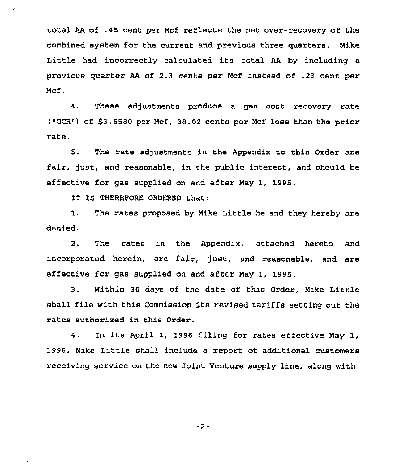Lotal AA of .45 cent per Mcf reflects the net over-recovery of the combined system for the current and previous three quarters. Mike Little had incorrectly calculated its total AA by including <sup>a</sup> previous quarter AA of 2.3 cents per Mcf instead of .23 cent per Mcf.

4. These adjustments produce a gas cost recovery rate ("GCR") of \$3.6580 per Mcf, 38.02 cents per Mcf less than the prior rate.

5. The rate adjustments in the Appendix to this Order are fair, just, and reasonable, in the public interest, and should be effective for gas supplied on and after May 1, 1995.

IT IS THEREFORE ORDERED that:

1. The rates proposed by Mike Little be and they hereby are denied.

2. The rates in the Appendix, attached hereto and incorporated herein, are fair, just, and reasonable, and are effective for gas supplied on and after May 1, 1995.

3. Within 30 days of the date of this Order, Mike Little shall file with this Commission its revised tariffs setting out the rates authorized in this Order.

4. In its April 1, <sup>1996</sup> filing for rates effective May 1, 1996, Mike Little shall include a report of additional customers receiving service on the new Joint Venture supply line, along with

-2-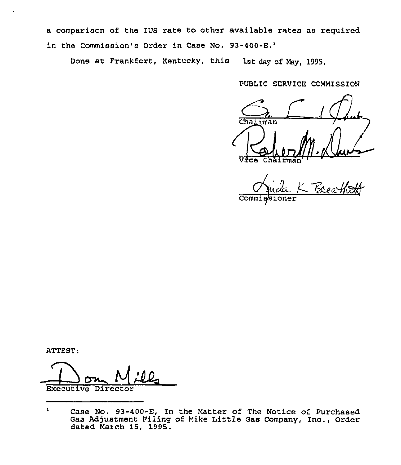a comparison of the IUS rate to other available rates as required in the Commission's Order in Case No.  $93-400-E.<sup>1</sup>$ 

Done at Frankfort, Kentucky, this lat day of May, 1995.

PUBLIC SERVICE COMMISSION

 $\frac{C_{h}}{\sum_{\text{chairman}}$  $\Lambda$ ice

K Breathit  $\overline{\text{Comm}}$ 

ATTEST:

Executive Director

 $\mathbf 1$ Case No. 93-400-E, ln the Matter of The Notice of Purchased Gas Adjustment Filing of Mike Little Gas Company, Inc,, Order dated March 15, 1995.